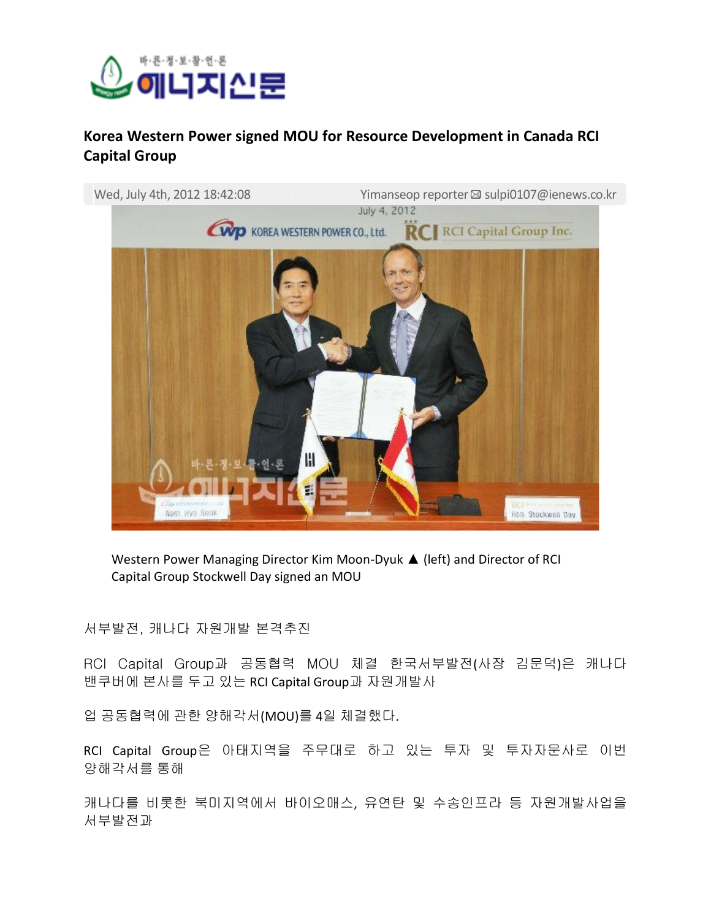

## **Korea Western Power signed MOU for Resource Development in Canada RCI Capital Group**



Western Power Managing Director Kim Moon-Dyuk ▲ (left) and Director of RCI Capital Group Stockwell Day signed an MOU

서부발전, 캐나다 자원개발 본격추진

RCI Capital Group과 공동협력 MOU 체결 한국서부발전(사장 김문덕)은 캐나다 밴쿠버에 본사를 두고 있는 RCI Capital Group과 자원개발사

업 공동협력에 관한 양해각서(MOU)를 4일 체결했다.

RCI Capital Group은 아태지역을 주무대로 하고 있는 투자 및 투자자문사로 이번 양해각서를 통해

캐나다를 비롯한 북미지역에서 바이오매스, 유연탄 및 수송인프라 등 자원개발사업을 서부발전과